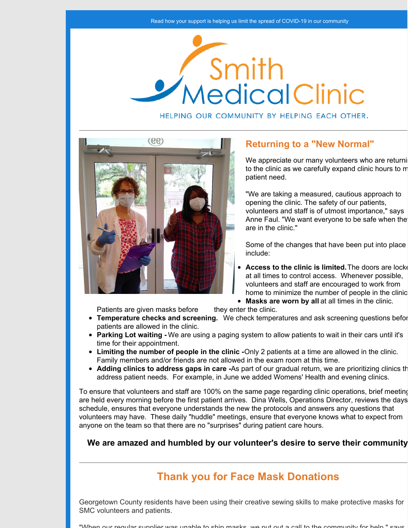

HELPING OUR COMMUNITY BY HELPING EACH OTHER.



## **Returning to a "New Normal"**

We appreciate our many volunteers who are returning to the clinic as we carefully expand clinic hours to m patient need.

"We are taking a measured, cautious approach to opening the clinic. The safety of our patients, volunteers and staff is of utmost importance," says Anne Faul. "We want everyone to be safe when the are in the clinic."

Some of the changes that have been put into place include:

- **Access to the clinic is limited.** The doors are locked at all times to control access. Whenever possible, volunteers and staff are encouraged to work from home to minimize the number of people in the clinic.
- **Masks are worn by all** at all times in the clinic.

Patients are given masks before they enter the clinic.

- **Temperature checks and screening.** We check temperatures and ask screening questions before patients are allowed in the clinic.
- **Parking Lot waiting -** We are using a paging system to allow patients to wait in their cars until it's time for their appointment.
- **Limiting the number of people in the clinic -**Only 2 patients at a time are allowed in the clinic. Family members and/or friends are not allowed in the exam room at this time.
- **Adding clinics to address gaps in care** -As part of our gradual return, we are prioritizing clinics that address patient needs. For example, in June we added Womens' Health and evening clinics.

To ensure that volunteers and staff are 100% on the same page regarding clinic operations, brief meeting are held every morning before the first patient arrives. Dina Wells, Operations Director, reviews the days' schedule, ensures that everyone understands the new the protocols and answers any questions that volunteers may have. These daily "huddle" meetings, ensure that everyone knows what to expect from anyone on the team so that there are no "surprises" during patient care hours.

**We are amazed and humbled by our volunteer's desire to serve their community!**

# **Thank you for Face Mask Donations**

Georgetown County residents have been using their creative sewing skills to make protective masks for SMC volunteers and patients.

eular supplier was unable to ship masks, we put out a call to the community for help.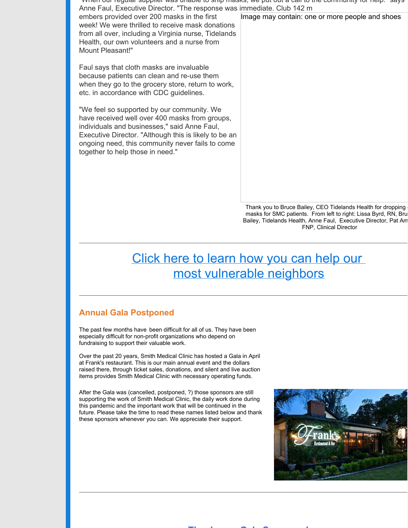"When our regular supplier was unable to ship masks, we put out a call to the community for help." says Anne Faul, Executive Director. "The response was immediate. Club 142 m

embers provided over 200 masks in the first week! We were thrilled to receive mask donations from all over, including a Virginia nurse, Tidelands Health, our own volunteers and a nurse from Mount Pleasant!"

Faul says that cloth masks are invaluable because patients can clean and re-use them when they go to the grocery store, return to work, etc. in accordance with CDC guidelines.

"We feel so supported by our community. We have received well over 400 masks from groups, individuals and businesses," said Anne Faul, Executive Director. "Although this is likely to be an ongoing need, this community never fails to come together to help those in need."

Image may contain: one or more people and shoes

Thank you to Bruce Bailey, CEO Tidelands Health for dropping masks for SMC patients. From left to right: Lissa Byrd, RN, Bru Bailey, Tidelands Health, Anne Faul, Executive Director, Pat Am FNP, Clinical Director

# Click here to [learn](https://smithfreeclinic.org/donate) how you can help our most [vulnerable](https://smithfreeclinic.org/donate) neighbors

## **Annual Gala Postponed**

The past few months have been difficult for all of us. They have been especially difficult for non-profit organizations who depend on fundraising to support their valuable work.

Over the past 20 years, Smith Medical Clinic has hosted a Gala in April at Frank's restaurant. This is our main annual event and the dollars raised there, through ticket sales, donations, and silent and live auction items provides Smith Medical Clinic with necessary operating funds.

After the Gala was (cancelled, postponed, ?) those sponsors are still supporting the work of Smith Medical Clinic, the daily work done during this pandemic and the important work that will be continued in the future. Please take the time to read these names listed below and thank these sponsors whenever you can. We appreciate their support.



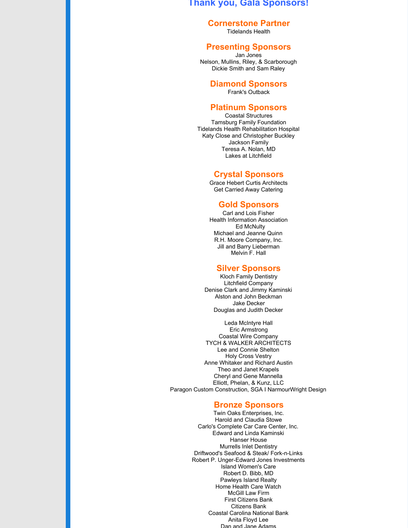#### **Thank you, Gala Sponsors!**

#### **Cornerstone Partner**

Tidelands Health

#### **Presenting Sponsors**

Jan Jones Nelson, Mullins, Riley, & Scarborough Dickie Smith and Sam Raley

#### **Diamond Sponsors**

Frank's Outback

#### **Platinum Sponsors**

Coastal Structures Tamsburg Family Foundation Tidelands Health Rehabilitation Hospital Katy Close and Christopher Buckley Jackson Family Teresa A. Nolan, MD Lakes at Litchfield

#### **Crystal Sponsors**

Grace Hebert Curtis Architects Get Carried Away Catering

#### **Gold Sponsors**

Carl and Lois Fisher Health Information Association Ed McNulty Michael and Jeanne Quinn R.H. Moore Company, Inc. Jill and Barry Lieberman Melvin F. Hall

#### **Silver Sponsors**

Kloch Family Dentistry Litchfield Company Denise Clark and Jimmy Kaminski Alston and John Beckman Jake Decker Douglas and Judith Decker

Leda McIntyre Hall Eric Armstrong Coastal Wire Company TYCH & WALKER ARCHITECTS Lee and Connie Shelton Holy Cross Vestry Anne Whitaker and Richard Austin Theo and Janet Krapels Cheryl and Gene Mannella Elliott, Phelan, & Kunz, LLC Paragon Custom Construction, SGA I NarmourWright Design

#### **Bronze Sponsors**

Twin Oaks Enterprises, Inc. Harold and Claudia Stowe Carlo's Complete Car Care Center, Inc. Edward and Linda Kaminski Hanser House Murrells Inlet Dentistry Driftwood's Seafood & Steak/ Fork-n-Links Robert P. Unger-Edward Jones Investments Island Women's Care Robert D. Bibb, MD Pawleys Island Realty Home Health Care Watch McGill Law Firm First Citizens Bank Citizens Bank Coastal Carolina National Bank Anita Floyd Lee Dan and Jane Adams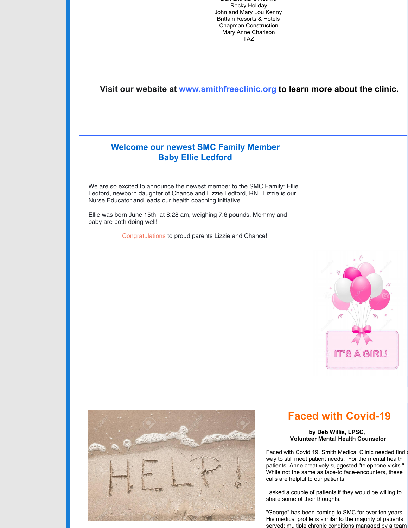Dan and Jane Adams Rocky Holiday John and Mary Lou Kenny Brittain Resorts & Hotels Chapman Construction Mary Anne Charlson TAZ

### **Visit our website at [www.smithfreeclinic.org](http://www.smithfreeclinic.org) to learn more about the clinic.**

## **Welcome our newest SMC Family Member Baby Ellie Ledford**

We are so excited to announce the newest member to the SMC Family: Ellie Ledford, newborn daughter of Chance and Lizzie Ledford, RN. Lizzie is our Nurse Educator and leads our health coaching initiative.

Ellie was born June 15th at 8:28 am, weighing 7.6 pounds. Mommy and baby are both doing well!

Congratulations to proud parents Lizzie and Chance!





# **Faced with Covid-19**

#### **by Deb Willis, LPSC, Volunteer Mental Health Counselor**

Faced with Covid 19, Smith Medical Clinic needed find a way to still meet patient needs. For the mental health patients, Anne creatively suggested "telephone visits." While not the same as face-to face-encounters, these calls are helpful to our patients.

I asked a couple of patients if they would be willing to share some of their thoughts.

"George" has been coming to SMC for over ten years. His medical profile is similar to the majority of patients served: multiple chronic conditions managed by a team